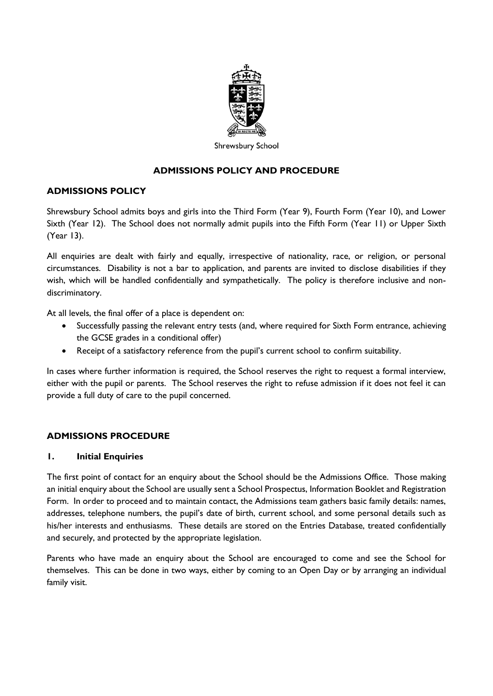

Shrewsbury School

# **ADMISSIONS POLICY AND PROCEDURE**

## **ADMISSIONS POLICY**

Shrewsbury School admits boys and girls into the Third Form (Year 9), Fourth Form (Year 10), and Lower Sixth (Year 12). The School does not normally admit pupils into the Fifth Form (Year 11) or Upper Sixth (Year 13).

All enquiries are dealt with fairly and equally, irrespective of nationality, race, or religion, or personal circumstances. Disability is not a bar to application, and parents are invited to disclose disabilities if they wish, which will be handled confidentially and sympathetically. The policy is therefore inclusive and nondiscriminatory.

At all levels, the final offer of a place is dependent on:

- Successfully passing the relevant entry tests (and, where required for Sixth Form entrance, achieving the GCSE grades in a conditional offer)
- Receipt of a satisfactory reference from the pupil's current school to confirm suitability.

In cases where further information is required, the School reserves the right to request a formal interview, either with the pupil or parents. The School reserves the right to refuse admission if it does not feel it can provide a full duty of care to the pupil concerned.

## **ADMISSIONS PROCEDURE**

#### **1. Initial Enquiries**

The first point of contact for an enquiry about the School should be the Admissions Office. Those making an initial enquiry about the School are usually sent a School Prospectus, Information Booklet and Registration Form. In order to proceed and to maintain contact, the Admissions team gathers basic family details: names, addresses, telephone numbers, the pupil's date of birth, current school, and some personal details such as his/her interests and enthusiasms. These details are stored on the Entries Database, treated confidentially and securely, and protected by the appropriate legislation.

Parents who have made an enquiry about the School are encouraged to come and see the School for themselves. This can be done in two ways, either by coming to an Open Day or by arranging an individual family visit.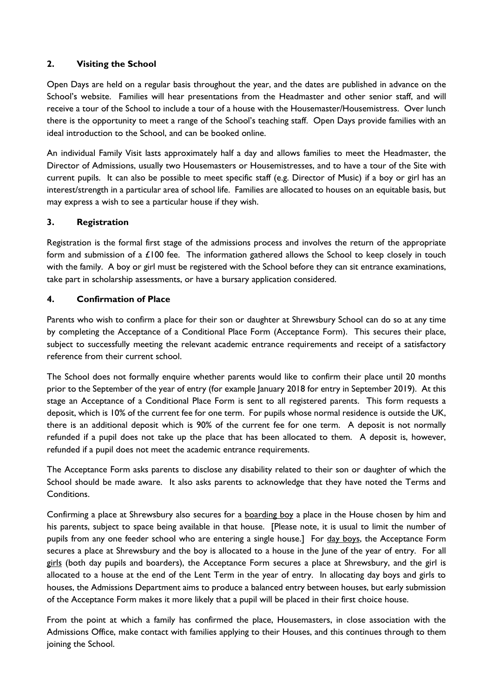# **2. Visiting the School**

Open Days are held on a regular basis throughout the year, and the dates are published in advance on the School's website. Families will hear presentations from the Headmaster and other senior staff, and will receive a tour of the School to include a tour of a house with the Housemaster/Housemistress. Over lunch there is the opportunity to meet a range of the School's teaching staff. Open Days provide families with an ideal introduction to the School, and can be booked online.

An individual Family Visit lasts approximately half a day and allows families to meet the Headmaster, the Director of Admissions, usually two Housemasters or Housemistresses, and to have a tour of the Site with current pupils. It can also be possible to meet specific staff (e.g. Director of Music) if a boy or girl has an interest/strength in a particular area of school life. Families are allocated to houses on an equitable basis, but may express a wish to see a particular house if they wish.

# **3. Registration**

Registration is the formal first stage of the admissions process and involves the return of the appropriate form and submission of a  $£100$  fee. The information gathered allows the School to keep closely in touch with the family. A boy or girl must be registered with the School before they can sit entrance examinations, take part in scholarship assessments, or have a bursary application considered.

# **4. Confirmation of Place**

Parents who wish to confirm a place for their son or daughter at Shrewsbury School can do so at any time by completing the Acceptance of a Conditional Place Form (Acceptance Form). This secures their place, subject to successfully meeting the relevant academic entrance requirements and receipt of a satisfactory reference from their current school.

The School does not formally enquire whether parents would like to confirm their place until 20 months prior to the September of the year of entry (for example January 2018 for entry in September 2019). At this stage an Acceptance of a Conditional Place Form is sent to all registered parents. This form requests a deposit, which is 10% of the current fee for one term. For pupils whose normal residence is outside the UK, there is an additional deposit which is 90% of the current fee for one term. A deposit is not normally refunded if a pupil does not take up the place that has been allocated to them. A deposit is, however, refunded if a pupil does not meet the academic entrance requirements.

The Acceptance Form asks parents to disclose any disability related to their son or daughter of which the School should be made aware. It also asks parents to acknowledge that they have noted the Terms and Conditions.

Confirming a place at Shrewsbury also secures for a boarding boy a place in the House chosen by him and his parents, subject to space being available in that house. [Please note, it is usual to limit the number of pupils from any one feeder school who are entering a single house.] For day boys, the Acceptance Form secures a place at Shrewsbury and the boy is allocated to a house in the June of the year of entry. For all girls (both day pupils and boarders), the Acceptance Form secures a place at Shrewsbury, and the girl is allocated to a house at the end of the Lent Term in the year of entry. In allocating day boys and girls to houses, the Admissions Department aims to produce a balanced entry between houses, but early submission of the Acceptance Form makes it more likely that a pupil will be placed in their first choice house.

From the point at which a family has confirmed the place, Housemasters, in close association with the Admissions Office, make contact with families applying to their Houses, and this continues through to them joining the School.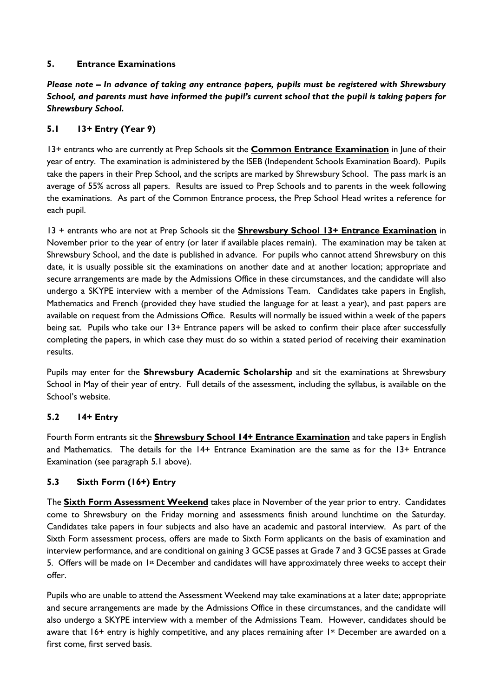# **5. Entrance Examinations**

*Please note – In advance of taking any entrance papers, pupils must be registered with Shrewsbury School, and parents must have informed the pupil's current school that the pupil is taking papers for Shrewsbury School.*

# **5.1 13+ Entry (Year 9)**

13+ entrants who are currently at Prep Schools sit the **Common Entrance Examination** in June of their year of entry. The examination is administered by the ISEB (Independent Schools Examination Board). Pupils take the papers in their Prep School, and the scripts are marked by Shrewsbury School. The pass mark is an average of 55% across all papers. Results are issued to Prep Schools and to parents in the week following the examinations. As part of the Common Entrance process, the Prep School Head writes a reference for each pupil.

13 + entrants who are not at Prep Schools sit the **Shrewsbury School 13+ Entrance Examination** in November prior to the year of entry (or later if available places remain). The examination may be taken at Shrewsbury School, and the date is published in advance. For pupils who cannot attend Shrewsbury on this date, it is usually possible sit the examinations on another date and at another location; appropriate and secure arrangements are made by the Admissions Office in these circumstances, and the candidate will also undergo a SKYPE interview with a member of the Admissions Team. Candidates take papers in English, Mathematics and French (provided they have studied the language for at least a year), and past papers are available on request from the Admissions Office. Results will normally be issued within a week of the papers being sat. Pupils who take our 13+ Entrance papers will be asked to confirm their place after successfully completing the papers, in which case they must do so within a stated period of receiving their examination results.

Pupils may enter for the **Shrewsbury Academic Scholarship** and sit the examinations at Shrewsbury School in May of their year of entry. Full details of the assessment, including the syllabus, is available on the School's website.

## **5.2 14+ Entry**

Fourth Form entrants sit the **Shrewsbury School 14+ Entrance Examination** and take papers in English and Mathematics. The details for the 14+ Entrance Examination are the same as for the 13+ Entrance Examination (see paragraph 5.1 above).

# **5.3 Sixth Form (16+) Entry**

The **Sixth Form Assessment Weekend** takes place in November of the year prior to entry. Candidates come to Shrewsbury on the Friday morning and assessments finish around lunchtime on the Saturday. Candidates take papers in four subjects and also have an academic and pastoral interview. As part of the Sixth Form assessment process, offers are made to Sixth Form applicants on the basis of examination and interview performance, and are conditional on gaining 3 GCSE passes at Grade 7 and 3 GCSE passes at Grade 5. Offers will be made on 1st December and candidates will have approximately three weeks to accept their offer.

Pupils who are unable to attend the Assessment Weekend may take examinations at a later date; appropriate and secure arrangements are made by the Admissions Office in these circumstances, and the candidate will also undergo a SKYPE interview with a member of the Admissions Team. However, candidates should be aware that 16+ entry is highly competitive, and any places remaining after 1st December are awarded on a first come, first served basis.